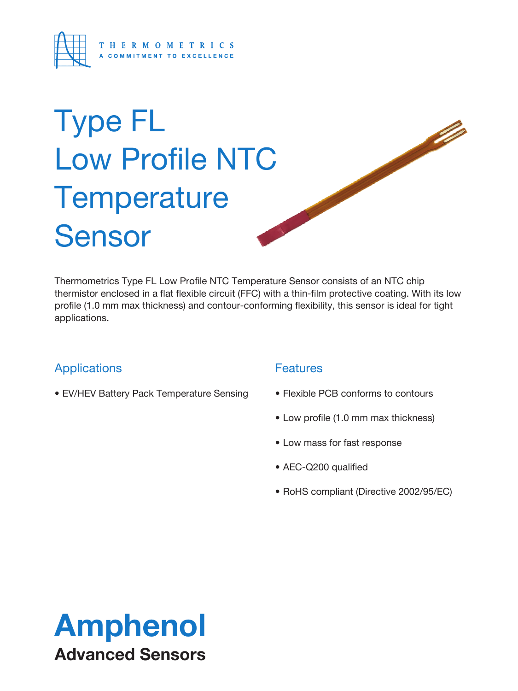

# Type FL Low Profile NTC **Temperature** Sensor

Thermometrics Type FL Low Profile NTC Temperature Sensor consists of an NTC chip thermistor enclosed in a flat flexible circuit (FFC) with a thin-film protective coating. With its low profile (1.0 mm max thickness) and contour-conforming flexibility, this sensor is ideal for tight applications.

## Applications

• EV/HEV Battery Pack Temperature Sensing

## **Features**

• Flexible PCB conforms to contours

**Signal Contract of Contract of Contract of Contract of Contract of Contract of Contract of Contract of Contract of Contract of Contract of Contract of Contract of Contract of Contract of Contract of Contract of Contract o** 

- Low profile (1.0 mm max thickness)
- Low mass for fast response
- AEC-Q200 qualified
- RoHS compliant (Directive 2002/95/EC)